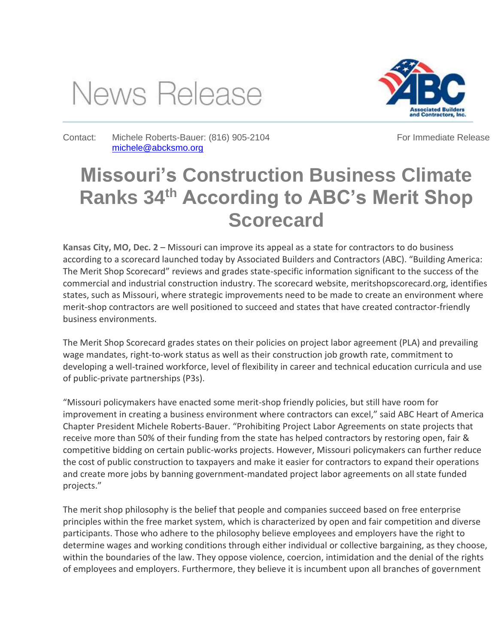## News Release



Contact: Michele Roberts-Bauer: (816) 905-2104 [michele@abcksmo.org](file:///C:/Users/rober_000/AppData/Local/Microsoft/Windows/INetCache/Content.Outlook/DJ7U87N1/michele@abcksmo.org)

For Immediate Release

## **Missouri's Construction Business Climate Ranks 34th According to ABC's Merit Shop Scorecard**

**Kansas City, MO, Dec. 2** – Missouri can improve its appeal as a state for contractors to do business according to a scorecard launched today by Associated Builders and Contractors (ABC). "Building America: The Merit Shop Scorecard" reviews and grades state-specific information significant to the success of the commercial and industrial construction industry. The scorecard website, meritshopscorecard.org, identifies states, such as Missouri, where strategic improvements need to be made to create an environment where merit-shop contractors are well positioned to succeed and states that have created contractor-friendly business environments.

The Merit Shop Scorecard grades states on their policies on project labor agreement (PLA) and prevailing wage mandates, right-to-work status as well as their construction job growth rate, commitment to developing a well-trained workforce, level of flexibility in career and technical education curricula and use of public-private partnerships (P3s).

"Missouri policymakers have enacted some merit-shop friendly policies, but still have room for improvement in creating a business environment where contractors can excel," said ABC Heart of America Chapter President Michele Roberts-Bauer. "Prohibiting Project Labor Agreements on state projects that receive more than 50% of their funding from the state has helped contractors by restoring open, fair & competitive bidding on certain public-works projects. However, Missouri policymakers can further reduce the cost of public construction to taxpayers and make it easier for contractors to expand their operations and create more jobs by banning government-mandated project labor agreements on all state funded projects."

The merit shop philosophy is the belief that people and companies succeed based on free enterprise principles within the free market system, which is characterized by open and fair competition and diverse participants. Those who adhere to the philosophy believe employees and employers have the right to determine wages and working conditions through either individual or collective bargaining, as they choose, within the boundaries of the law. They oppose violence, coercion, intimidation and the denial of the rights of employees and employers. Furthermore, they believe it is incumbent upon all branches of government